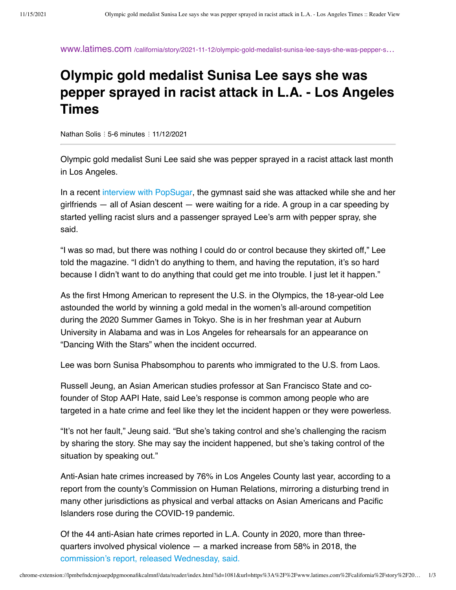www.latimes.com [/california/story/2021-11-12/olympic-gold-medalist-sunisa-lee-says-she-was-pepper-s](https://www.latimes.com/california/story/2021-11-12/olympic-gold-medalist-sunisa-lee-says-she-was-pepper-sprayed-in-racist-attack-while-in-los-angeles)…

## **Olympic gold medalist Sunisa Lee says she was pepper sprayed in racist attack in L.A. - Los Angeles Times**

Nathan Solis ⋮ 5-6 minutes ⋮ 11/12/2021

Olympic gold medalist Suni Lee said she was pepper sprayed in a racist attack last month in Los Angeles.

In a recent [interview with PopSugar](https://www.popsugar.com/fitness/suni-lee-olympics-interview-48564671), the gymnast said she was attacked while she and her girlfriends — all of Asian descent — were waiting for a ride. A group in a car speeding by started yelling racist slurs and a passenger sprayed Lee's arm with pepper spray, she said.

"I was so mad, but there was nothing I could do or control because they skirted off," Lee told the magazine. "I didn't do anything to them, and having the reputation, it's so hard because I didn't want to do anything that could get me into trouble. I just let it happen."

As the first Hmong American to represent the U.S. in the Olympics, the 18-year-old Lee astounded the world by winning a gold medal in the women's all-around competition during the 2020 Summer Games in Tokyo. She is in her freshman year at Auburn University in Alabama and was in Los Angeles for rehearsals for an appearance on "Dancing With the Stars" when the incident occurred.

Lee was born Sunisa Phabsomphou to parents who immigrated to the U.S. from Laos.

Russell Jeung, an Asian American studies professor at San Francisco State and cofounder of Stop AAPI Hate, said Lee's response is common among people who are targeted in a hate crime and feel like they let the incident happen or they were powerless.

"It's not her fault," Jeung said. "But she's taking control and she's challenging the racism by sharing the story. She may say the incident happened, but she's taking control of the situation by speaking out."

Anti-Asian hate crimes increased by 76% in Los Angeles County last year, according to a report from the county's Commission on Human Relations, mirroring a disturbing trend in many other jurisdictions as physical and verbal attacks on Asian Americans and Pacific Islanders rose during the COVID-19 pandemic.

Of the 44 anti-Asian hate crimes reported in L.A. County in 2020, more than threequarters involved physical violence — a marked increase from 58% in 2018, the [commission's report, released Wednesday, said.](https://hrc.lacounty.gov/wp-content/uploads/2021/10/Anti-Asian-Hate-Crime-Report-2020-Update.pdf?utm_content=&utm_medium=email&utm_name=&utm_source=govdelivery&utm_term=)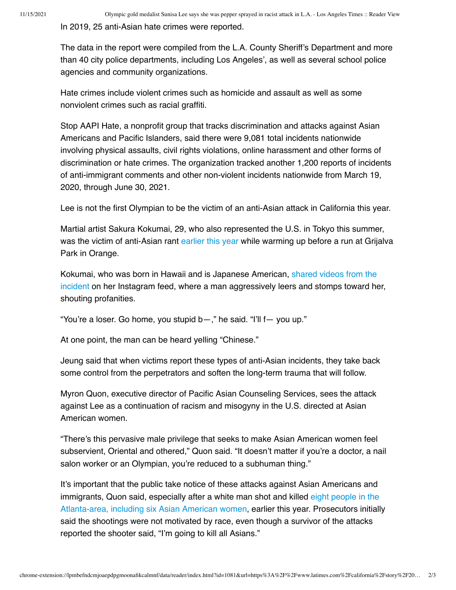In 2019, 25 anti-Asian hate crimes were reported.

The data in the report were compiled from the L.A. County Sheriff's Department and more than 40 city police departments, including Los Angeles', as well as several school police agencies and community organizations.

Hate crimes include violent crimes such as homicide and assault as well as some nonviolent crimes such as racial graffiti.

Stop AAPI Hate, a nonprofit group that tracks discrimination and attacks against Asian Americans and Pacific Islanders, said there were 9,081 total incidents nationwide involving physical assaults, civil rights violations, online harassment and other forms of discrimination or hate crimes. The organization tracked another 1,200 reports of incidents of anti-immigrant comments and other non-violent incidents nationwide from March 19, 2020, through June 30, 2021.

Lee is not the first Olympian to be the victim of an anti-Asian attack in California this year.

Martial artist Sakura Kokumai, 29, who also represented the U.S. in Tokyo this summer, was the victim of anti-Asian rant [earlier this year](https://www.latimes.com/california/story/2021-04-09/olympic-athlete-sakura-kokumai-targeted-in-anti-asian-rant-in-orange-county) while warming up before a run at Grijalva Park in Orange.

[Kokumai, who was born in Hawaii and is Japanese American, shared videos from the](https://www.instagram.com/p/CNMB1F3pAU0/?utm_medium=copy_link) incident on her Instagram feed, where a man aggressively leers and stomps toward her, shouting profanities.

"You're a loser. Go home, you stupid b—," he said. "I'll f— you up."

At one point, the man can be heard yelling "Chinese."

Jeung said that when victims report these types of anti-Asian incidents, they take back some control from the perpetrators and soften the long-term trauma that will follow.

Myron Quon, executive director of Pacific Asian Counseling Services, sees the attack against Lee as a continuation of racism and misogyny in the U.S. directed at Asian American women.

"There's this pervasive male privilege that seeks to make Asian American women feel subservient, Oriental and othered," Quon said. "It doesn't matter if you're a doctor, a nail salon worker or an Olympian, you're reduced to a subhuman thing."

It's important that the public take notice of these attacks against Asian Americans and [immigrants, Quon said, especially after a white man shot and killed eight people in the](https://www.latimes.com/world-nation/story/2021-09-28/atlanta-spa-shooting-suspect-enter-plea-4-killings) Atlanta-area, including six Asian American women, earlier this year. Prosecutors initially said the shootings were not motivated by race, even though a survivor of the attacks reported the shooter said, "I'm going to kill all Asians."